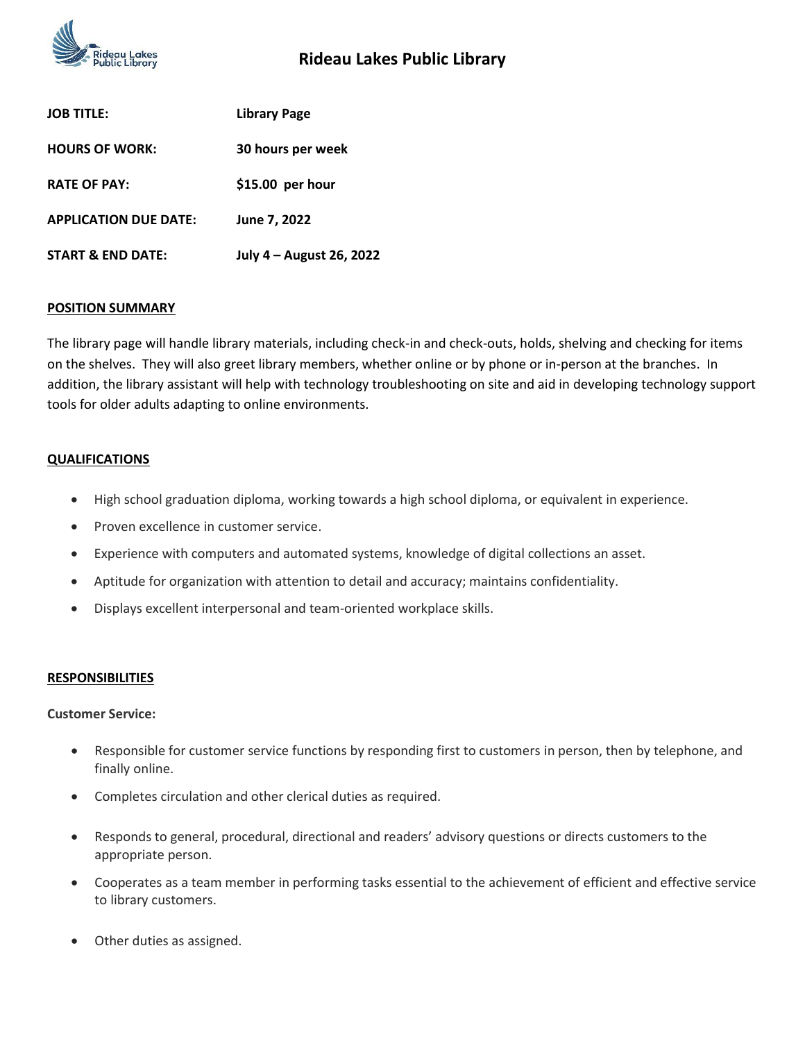

| <b>JOB TITLE:</b>            | Library Page             |
|------------------------------|--------------------------|
| <b>HOURS OF WORK:</b>        | 30 hours per week        |
| <b>RATE OF PAY:</b>          | $$15.00$ per hour        |
| <b>APPLICATION DUE DATE:</b> | June 7, 2022             |
| <b>START &amp; END DATE:</b> | July 4 - August 26, 2022 |

## **POSITION SUMMARY**

The library page will handle library materials, including check-in and check-outs, holds, shelving and checking for items on the shelves. They will also greet library members, whether online or by phone or in-person at the branches. In addition, the library assistant will help with technology troubleshooting on site and aid in developing technology support tools for older adults adapting to online environments.

## **QUALIFICATIONS**

- High school graduation diploma, working towards a high school diploma, or equivalent in experience.
- Proven excellence in customer service.
- Experience with computers and automated systems, knowledge of digital collections an asset.
- Aptitude for organization with attention to detail and accuracy; maintains confidentiality.
- Displays excellent interpersonal and team-oriented workplace skills.

#### **RESPONSIBILITIES**

#### **Customer Service:**

- Responsible for customer service functions by responding first to customers in person, then by telephone, and finally online.
- Completes circulation and other clerical duties as required.
- Responds to general, procedural, directional and readers' advisory questions or directs customers to the appropriate person.
- Cooperates as a team member in performing tasks essential to the achievement of efficient and effective service to library customers.
- Other duties as assigned.